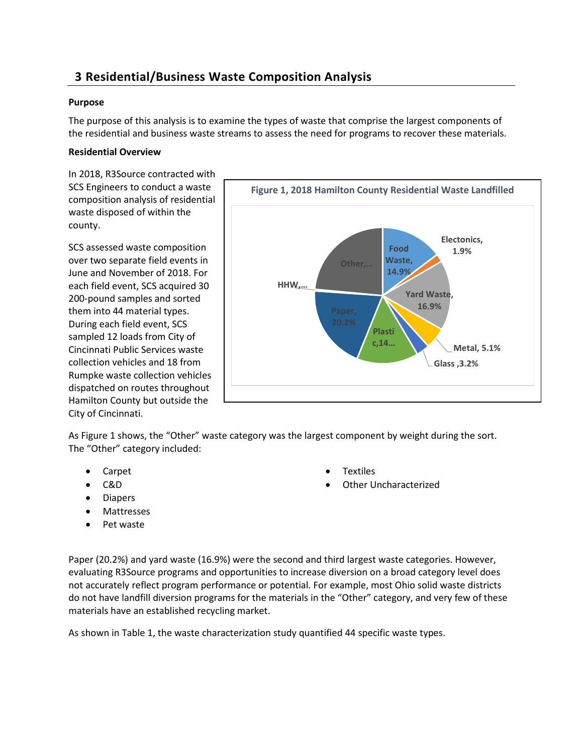# **3 Residential/Business Waste Composition Analysis**

# **Purpose**

The purpose of this analysis is to examine the types of waste that comprise the largest components of the residential and business waste streams to assess the need for programs to recover these materials.

## **Residential Overview**

In 2018, R3Source contracted with SCS Engineers to conduct a waste composition analysis of residential waste disposed of within the county.

SCS assessed waste composition over two separate field events in June and November of 2018. For each field event, SCS acquired 30 200-pound samples and sorted them into 44 material types. During each field event, SCS sampled 12 loads from City of Cincinnati Public Services waste collection vehicles and 18 from Rumpke waste collection vehicles dispatched on routes throughout Hamilton County but outside the City of Cincinnati.



As Figure 1 shows, the "Other" waste category was the largest component by weight during the sort. The "Other" category included:

- Carpet
- C&D
- Diapers
- Mattresses
- Pet waste

Paper (20.2%) and yard waste (16.9%) were the second and third largest waste categories. However, evaluating R3Source programs and opportunities to increase diversion on a broad category level does not accurately reflect program performance or potential. For example, most Ohio solid waste districts do not have landfill diversion programs for the materials in the "Other" category, and very few of these materials have an established recycling market.

As shown in Table 1, the waste characterization study quantified 44 specific waste types.

- Textiles
- Other Uncharacterized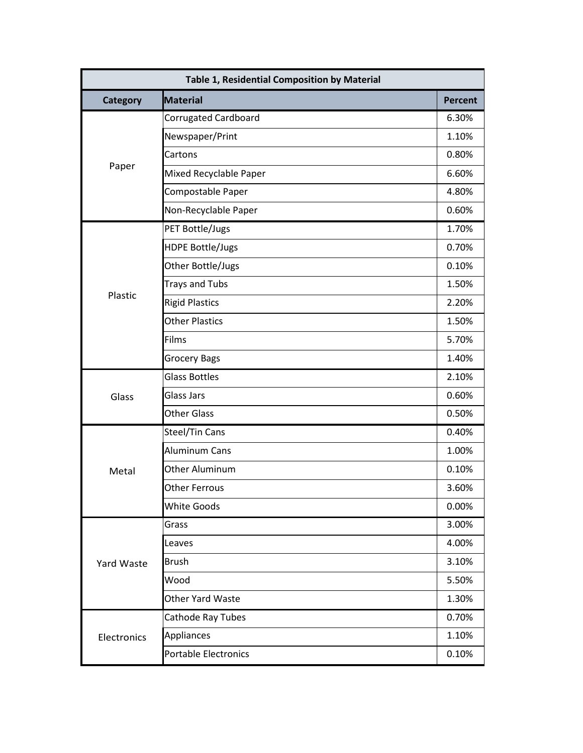| Table 1, Residential Composition by Material |                             |                |
|----------------------------------------------|-----------------------------|----------------|
| <b>Category</b>                              | <b>Material</b>             | <b>Percent</b> |
|                                              | <b>Corrugated Cardboard</b> | 6.30%          |
|                                              | Newspaper/Print             | 1.10%          |
|                                              | Cartons                     | 0.80%          |
| Paper                                        | Mixed Recyclable Paper      | 6.60%          |
|                                              | Compostable Paper           | 4.80%          |
|                                              | Non-Recyclable Paper        | 0.60%          |
|                                              | PET Bottle/Jugs             | 1.70%          |
|                                              | <b>HDPE Bottle/Jugs</b>     | 0.70%          |
|                                              | Other Bottle/Jugs           | 0.10%          |
|                                              | <b>Trays and Tubs</b>       | 1.50%          |
| Plastic                                      | <b>Rigid Plastics</b>       | 2.20%          |
|                                              | <b>Other Plastics</b>       | 1.50%          |
|                                              | Films                       | 5.70%          |
|                                              | <b>Grocery Bags</b>         | 1.40%          |
|                                              | <b>Glass Bottles</b>        | 2.10%          |
| Glass                                        | <b>Glass Jars</b>           | 0.60%          |
|                                              | <b>Other Glass</b>          | 0.50%          |
|                                              | Steel/Tin Cans              | 0.40%          |
|                                              | <b>Aluminum Cans</b>        | 1.00%          |
| Metal                                        | <b>Other Aluminum</b>       | 0.10%          |
|                                              | <b>Other Ferrous</b>        | 3.60%          |
|                                              | <b>White Goods</b>          | 0.00%          |
|                                              | Grass                       | 3.00%          |
|                                              | Leaves                      | 4.00%          |
| Yard Waste                                   | <b>Brush</b>                | 3.10%          |
|                                              | Wood                        | 5.50%          |
|                                              | <b>Other Yard Waste</b>     | 1.30%          |
|                                              | Cathode Ray Tubes           | 0.70%          |
| Electronics                                  | Appliances                  | 1.10%          |
|                                              | <b>Portable Electronics</b> | 0.10%          |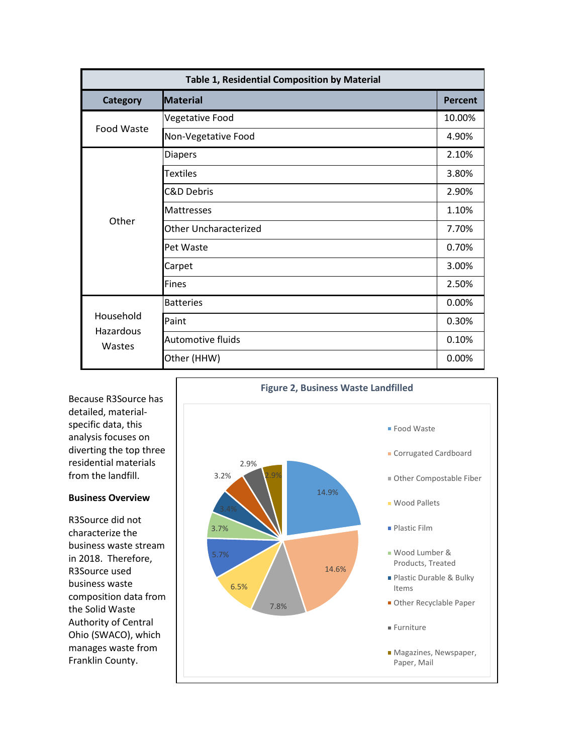| Table 1, Residential Composition by Material |                              |                |
|----------------------------------------------|------------------------------|----------------|
| <b>Category</b>                              | <b>Material</b>              | <b>Percent</b> |
| Food Waste                                   | Vegetative Food              | 10.00%         |
|                                              | Non-Vegetative Food          | 4.90%          |
|                                              | <b>Diapers</b>               | 2.10%          |
|                                              | <b>Textiles</b>              | 3.80%          |
|                                              | <b>C&amp;D Debris</b>        | 2.90%          |
|                                              | <b>Mattresses</b>            | 1.10%          |
| Other                                        | <b>Other Uncharacterized</b> | 7.70%          |
|                                              | Pet Waste                    | 0.70%          |
|                                              | Carpet                       | 3.00%          |
|                                              | <b>Fines</b>                 | 2.50%          |
|                                              | <b>Batteries</b>             | 0.00%          |
| Household<br>Hazardous<br>Wastes             | Paint                        | 0.30%          |
|                                              | <b>Automotive fluids</b>     | 0.10%          |
|                                              | Other (HHW)                  | 0.00%          |

Because R3Source has detailed, materialspecific data, this analysis focuses on diverting the top three residential materials from the landfill.

#### **Business Overview**

R3Source did not characterize the business waste stream in 2018. Therefore, R3Source used business waste composition data from the Solid Waste Authority of Central Ohio (SWACO), which manages waste from Franklin County.

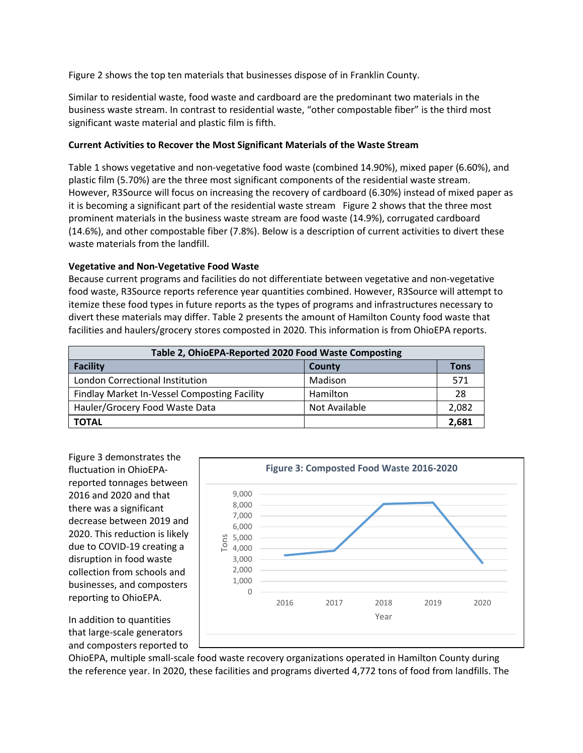Figure 2 shows the top ten materials that businesses dispose of in Franklin County.

Similar to residential waste, food waste and cardboard are the predominant two materials in the business waste stream. In contrast to residential waste, "other compostable fiber" is the third most significant waste material and plastic film is fifth.

# **Current Activities to Recover the Most Significant Materials of the Waste Stream**

Table 1 shows vegetative and non-vegetative food waste (combined 14.90%), mixed paper (6.60%), and plastic film (5.70%) are the three most significant components of the residential waste stream. However, R3Source will focus on increasing the recovery of cardboard (6.30%) instead of mixed paper as it is becoming a significant part of the residential waste stream Figure 2 shows that the three most prominent materials in the business waste stream are food waste (14.9%), corrugated cardboard (14.6%), and other compostable fiber (7.8%). Below is a description of current activities to divert these waste materials from the landfill.

# **Vegetative and Non-Vegetative Food Waste**

Because current programs and facilities do not differentiate between vegetative and non-vegetative food waste, R3Source reports reference year quantities combined. However, R3Source will attempt to itemize these food types in future reports as the types of programs and infrastructures necessary to divert these materials may differ. Table 2 presents the amount of Hamilton County food waste that facilities and haulers/grocery stores composted in 2020. This information is from OhioEPA reports.

| Table 2, OhioEPA-Reported 2020 Food Waste Composting |               |       |  |
|------------------------------------------------------|---------------|-------|--|
| <b>Facility</b>                                      | County        | Tons  |  |
| London Correctional Institution                      | Madison       | 571   |  |
| Findlay Market In-Vessel Composting Facility         | Hamilton      | 28    |  |
| Hauler/Grocery Food Waste Data                       | Not Available | 2,082 |  |
| <b>TOTAL</b>                                         |               | 2,681 |  |

Figure 3 demonstrates the fluctuation in OhioEPAreported tonnages between 2016 and 2020 and that there was a significant decrease between 2019 and 2020. This reduction is likely due to COVID-19 creating a disruption in food waste collection from schools and businesses, and composters reporting to OhioEPA.



In addition to quantities that large-scale generators and composters reported to

OhioEPA, multiple small-scale food waste recovery organizations operated in Hamilton County during the reference year. In 2020, these facilities and programs diverted 4,772 tons of food from landfills. The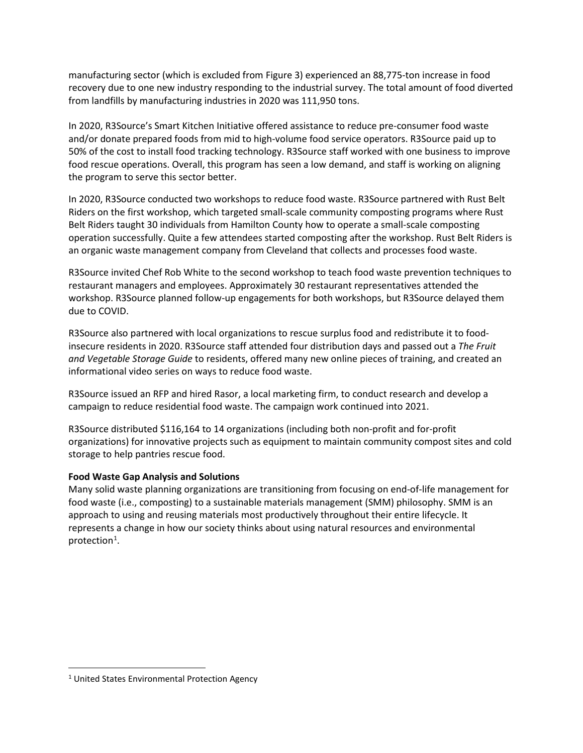manufacturing sector (which is excluded from Figure 3) experienced an 88,775-ton increase in food recovery due to one new industry responding to the industrial survey. The total amount of food diverted from landfills by manufacturing industries in 2020 was 111,950 tons.

In 2020, R3Source's Smart Kitchen Initiative offered assistance to reduce pre-consumer food waste and/or donate prepared foods from mid to high-volume food service operators. R3Source paid up to 50% of the cost to install food tracking technology. R3Source staff worked with one business to improve food rescue operations. Overall, this program has seen a low demand, and staff is working on aligning the program to serve this sector better.

In 2020, R3Source conducted two workshops to reduce food waste. R3Source partnered with Rust Belt Riders on the first workshop, which targeted small-scale community composting programs where Rust Belt Riders taught 30 individuals from Hamilton County how to operate a small-scale composting operation successfully. Quite a few attendees started composting after the workshop. Rust Belt Riders is an organic waste management company from Cleveland that collects and processes food waste.

R3Source invited Chef Rob White to the second workshop to teach food waste prevention techniques to restaurant managers and employees. Approximately 30 restaurant representatives attended the workshop. R3Source planned follow-up engagements for both workshops, but R3Source delayed them due to COVID.

R3Source also partnered with local organizations to rescue surplus food and redistribute it to foodinsecure residents in 2020. R3Source staff attended four distribution days and passed out a *The Fruit and Vegetable Storage Guide* to residents, offered many new online pieces of training, and created an informational video series on ways to reduce food waste.

R3Source issued an RFP and hired Rasor, a local marketing firm, to conduct research and develop a campaign to reduce residential food waste. The campaign work continued into 2021.

R3Source distributed \$116,164 to 14 organizations (including both non-profit and for-profit organizations) for innovative projects such as equipment to maintain community compost sites and cold storage to help pantries rescue food.

## **Food Waste Gap Analysis and Solutions**

Many solid waste planning organizations are transitioning from focusing on end-of-life management for food waste (i.e., composting) to a sustainable materials management (SMM) philosophy. SMM is an approach to using and reusing materials most productively throughout their entire lifecycle. It represents a change in how our society thinks about using natural resources and environmental protection<sup>[1](#page-4-0)</sup>.

<span id="page-4-0"></span><sup>1</sup> United States Environmental Protection Agency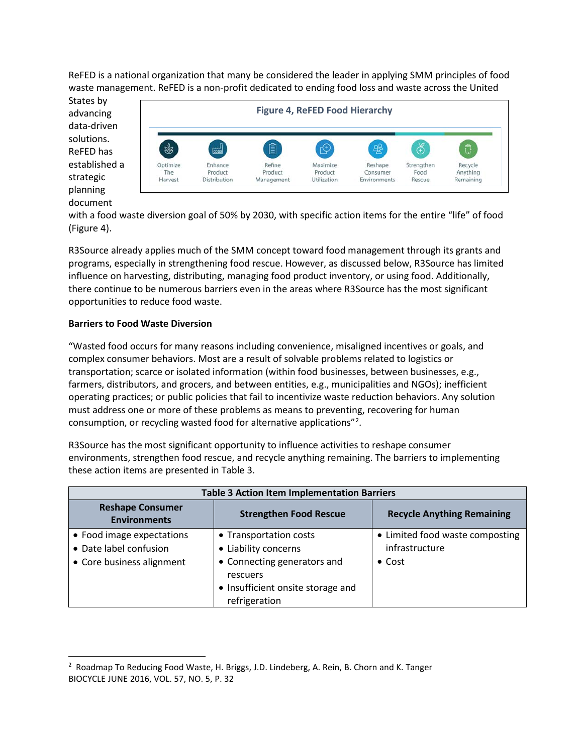ReFED is a national organization that many be considered the leader in applying SMM principles of food waste management. ReFED is a non-profit dedicated to ending food loss and waste across the United

States by advancing data-driven solutions. ReFED has established a strategic planning document



with a food waste diversion goal of 50% by 2030, with specific action items for the entire "life" of food (Figure 4).

R3Source already applies much of the SMM concept toward food management through its grants and programs, especially in strengthening food rescue. However, as discussed below, R3Source has limited influence on harvesting, distributing, managing food product inventory, or using food. Additionally, there continue to be numerous barriers even in the areas where R3Source has the most significant opportunities to reduce food waste.

# **Barriers to Food Waste Diversion**

"Wasted food occurs for many reasons including convenience, misaligned incentives or goals, and complex consumer behaviors. Most are a result of solvable problems related to logistics or transportation; scarce or isolated information (within food businesses, between businesses, e.g., farmers, distributors, and grocers, and between entities, e.g., municipalities and NGOs); inefficient operating practices; or public policies that fail to incentivize waste reduction behaviors. Any solution must address one or more of these problems as means to preventing, recovering for human consumption, or recycling wasted food for alternative applications"<sup>[2](#page-5-0)</sup>.

R3Source has the most significant opportunity to influence activities to reshape consumer environments, strengthen food rescue, and recycle anything remaining. The barriers to implementing these action items are presented in Table 3.

| <b>Table 3 Action Item Implementation Barriers</b>                               |                                                                                                                                                 |                                                                     |  |
|----------------------------------------------------------------------------------|-------------------------------------------------------------------------------------------------------------------------------------------------|---------------------------------------------------------------------|--|
| <b>Reshape Consumer</b><br><b>Environments</b>                                   | <b>Strengthen Food Rescue</b>                                                                                                                   | <b>Recycle Anything Remaining</b>                                   |  |
| • Food image expectations<br>• Date label confusion<br>• Core business alignment | • Transportation costs<br>• Liability concerns<br>• Connecting generators and<br>rescuers<br>• Insufficient onsite storage and<br>refrigeration | • Limited food waste composting<br>infrastructure<br>$\bullet$ Cost |  |

<span id="page-5-0"></span><sup>2</sup> Roadmap To Reducing Food Waste, H. Briggs, J.D. Lindeberg, A. Rein, B. Chorn and K. Tanger BIOCYCLE JUNE 2016, VOL. 57, NO. 5, P. 32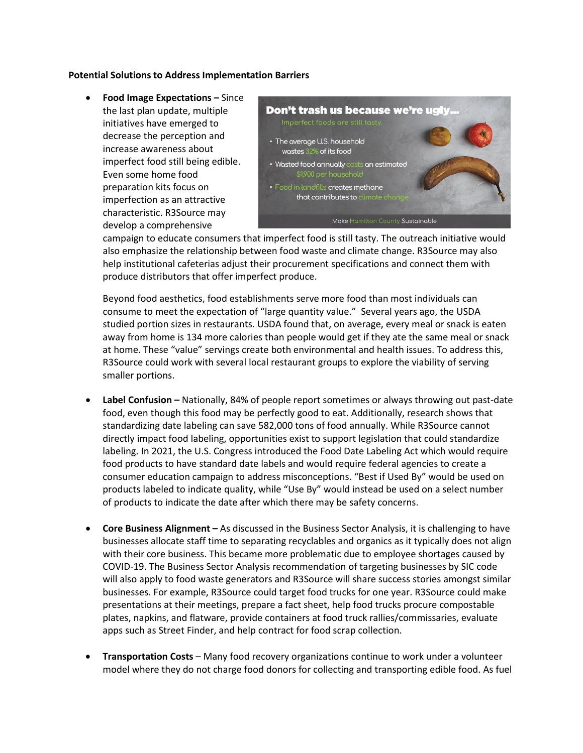#### **Potential Solutions to Address Implementation Barriers**

• **Food Image Expectations –** Since the last plan update, multiple initiatives have emerged to decrease the perception and increase awareness about imperfect food still being edible. Even some home food preparation kits focus on imperfection as an attractive characteristic. R3Source may develop a comprehensive



campaign to educate consumers that imperfect food is still tasty. The outreach initiative would also emphasize the relationship between food waste and climate change. R3Source may also help institutional cafeterias adjust their procurement specifications and connect them with produce distributors that offer imperfect produce.

Beyond food aesthetics, food establishments serve more food than most individuals can consume to meet the expectation of "large quantity value." Several years ago, the USDA studied portion sizes in restaurants. USDA found that, on average, every meal or snack is eaten away from home is 134 more calories than people would get if they ate the same meal or snack at home. These "value" servings create both environmental and health issues. To address this, R3Source could work with several local restaurant groups to explore the viability of serving smaller portions.

- **Label Confusion –** Nationally, 84% of people report sometimes or always throwing out past-date food, even though this food may be perfectly good to eat. Additionally, research shows that standardizing date labeling can save 582,000 tons of food annually. While R3Source cannot directly impact food labeling, opportunities exist to support legislation that could standardize labeling. In 2021, the U.S. Congress introduced the Food Date Labeling Act which would require food products to have standard date labels and would require federal agencies to create a consumer education campaign to address misconceptions. "Best if Used By" would be used on products labeled to indicate quality, while "Use By" would instead be used on a select number of products to indicate the date after which there may be safety concerns.
- **Core Business Alignment –** As discussed in the Business Sector Analysis, it is challenging to have businesses allocate staff time to separating recyclables and organics as it typically does not align with their core business. This became more problematic due to employee shortages caused by COVID-19. The Business Sector Analysis recommendation of targeting businesses by SIC code will also apply to food waste generators and R3Source will share success stories amongst similar businesses. For example, R3Source could target food trucks for one year. R3Source could make presentations at their meetings, prepare a fact sheet, help food trucks procure compostable plates, napkins, and flatware, provide containers at food truck rallies/commissaries, evaluate apps such as Street Finder, and help contract for food scrap collection.
- **Transportation Costs**  Many food recovery organizations continue to work under a volunteer model where they do not charge food donors for collecting and transporting edible food. As fuel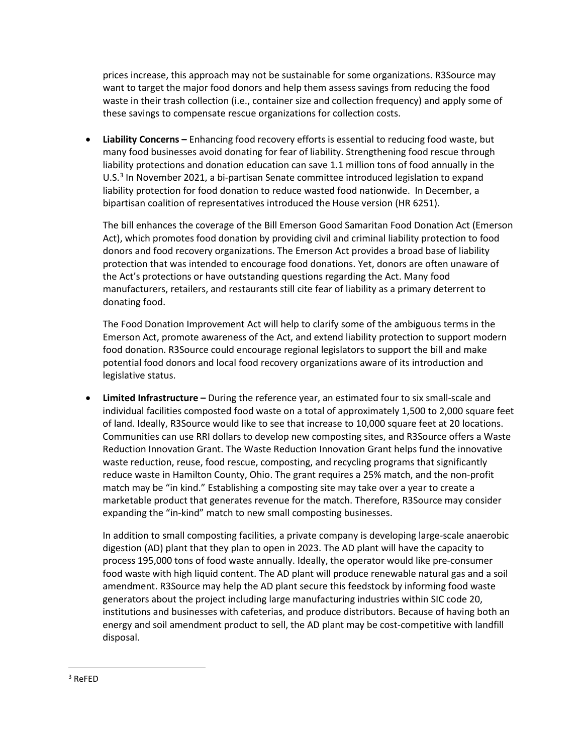prices increase, this approach may not be sustainable for some organizations. R3Source may want to target the major food donors and help them assess savings from reducing the food waste in their trash collection (i.e., container size and collection frequency) and apply some of these savings to compensate rescue organizations for collection costs.

• **Liability Concerns –** Enhancing food recovery efforts is essential to reducing food waste, but many food businesses avoid donating for fear of liability. Strengthening food rescue through liability protections and donation education can save 1.1 million tons of food annually in the U.S.<sup>[3](#page-7-0)</sup> In November 2021, a bi-partisan Senate committee introduced legislation to expand liability protection for food donation to reduce wasted food nationwide. In December, a bipartisan coalition of representatives introduced the House version (HR 6251).

The bill enhances the coverage of the Bill Emerson Good Samaritan Food Donation Act (Emerson Act), which promotes food donation by providing civil and criminal liability protection to food donors and food recovery organizations. The Emerson Act provides a broad base of liability protection that was intended to encourage food donations. Yet, donors are often unaware of the Act's protections or have outstanding questions regarding the Act. Many food manufacturers, retailers, and restaurants still cite fear of liability as a primary deterrent to donating food.

The Food Donation Improvement Act will help to clarify some of the ambiguous terms in the Emerson Act, promote awareness of the Act, and extend liability protection to support modern food donation. R3Source could encourage regional legislators to support the bill and make potential food donors and local food recovery organizations aware of its introduction and legislative status.

• **Limited Infrastructure –** During the reference year, an estimated four to six small-scale and individual facilities composted food waste on a total of approximately 1,500 to 2,000 square feet of land. Ideally, R3Source would like to see that increase to 10,000 square feet at 20 locations. Communities can use RRI dollars to develop new composting sites, and R3Source offers a Waste Reduction Innovation Grant. The Waste Reduction Innovation Grant helps fund the innovative waste reduction, reuse, food rescue, composting, and recycling programs that significantly reduce waste in Hamilton County, Ohio. The grant requires a 25% match, and the non-profit match may be "in kind." Establishing a composting site may take over a year to create a marketable product that generates revenue for the match. Therefore, R3Source may consider expanding the "in-kind" match to new small composting businesses.

In addition to small composting facilities, a private company is developing large-scale anaerobic digestion (AD) plant that they plan to open in 2023. The AD plant will have the capacity to process 195,000 tons of food waste annually. Ideally, the operator would like pre-consumer food waste with high liquid content. The AD plant will produce renewable natural gas and a soil amendment. R3Source may help the AD plant secure this feedstock by informing food waste generators about the project including large manufacturing industries within SIC code 20, institutions and businesses with cafeterias, and produce distributors. Because of having both an energy and soil amendment product to sell, the AD plant may be cost-competitive with landfill disposal.

<span id="page-7-0"></span> $3$  ReFFD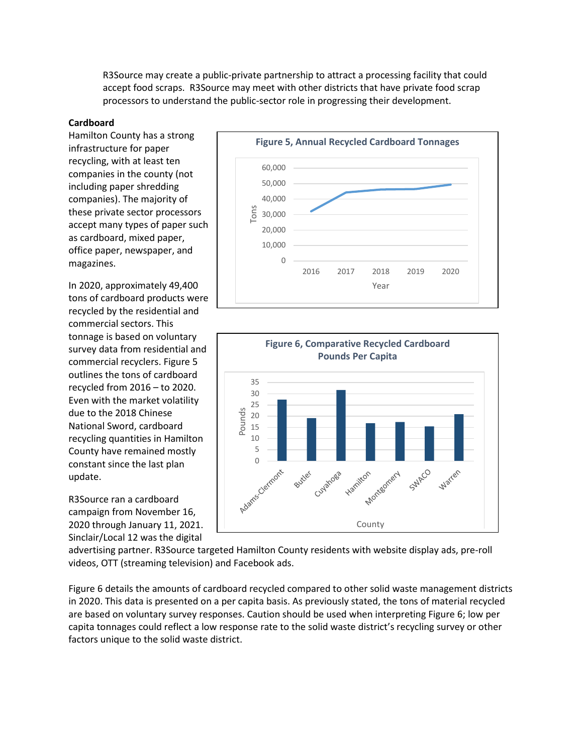R3Source may create a public-private partnership to attract a processing facility that could accept food scraps. R3Source may meet with other districts that have private food scrap processors to understand the public-sector role in progressing their development.

#### **Cardboard**

Hamilton County has a strong infrastructure for paper recycling, with at least ten companies in the county (not including paper shredding companies). The majority of these private sector processors accept many types of paper such as cardboard, mixed paper, office paper, newspaper, and magazines.

In 2020, approximately 49,400 tons of cardboard products were recycled by the residential and commercial sectors. This tonnage is based on voluntary survey data from residential and commercial recyclers. Figure 5 outlines the tons of cardboard recycled from 2016 – to 2020. Even with the market volatility due to the 2018 Chinese National Sword, cardboard recycling quantities in Hamilton County have remained mostly constant since the last plan update.

R3Source ran a cardboard campaign from November 16, 2020 through January 11, 2021. Sinclair/Local 12 was the digital





advertising partner. R3Source targeted Hamilton County residents with website display ads, pre-roll videos, OTT (streaming television) and Facebook ads.

Figure 6 details the amounts of cardboard recycled compared to other solid waste management districts in 2020. This data is presented on a per capita basis. As previously stated, the tons of material recycled are based on voluntary survey responses. Caution should be used when interpreting Figure 6; low per capita tonnages could reflect a low response rate to the solid waste district's recycling survey or other factors unique to the solid waste district.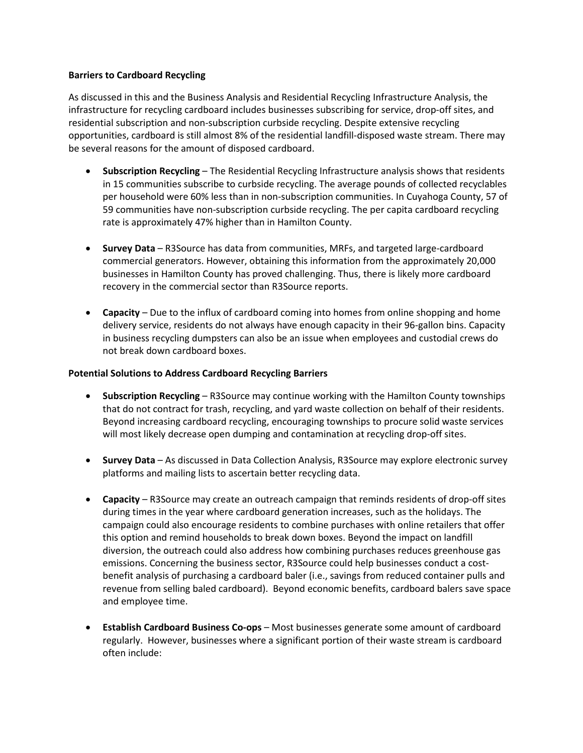#### **Barriers to Cardboard Recycling**

As discussed in this and the Business Analysis and Residential Recycling Infrastructure Analysis, the infrastructure for recycling cardboard includes businesses subscribing for service, drop-off sites, and residential subscription and non-subscription curbside recycling. Despite extensive recycling opportunities, cardboard is still almost 8% of the residential landfill-disposed waste stream. There may be several reasons for the amount of disposed cardboard.

- **Subscription Recycling** The Residential Recycling Infrastructure analysis shows that residents in 15 communities subscribe to curbside recycling. The average pounds of collected recyclables per household were 60% less than in non-subscription communities. In Cuyahoga County, 57 of 59 communities have non-subscription curbside recycling. The per capita cardboard recycling rate is approximately 47% higher than in Hamilton County.
- **Survey Data** R3Source has data from communities, MRFs, and targeted large-cardboard commercial generators. However, obtaining this information from the approximately 20,000 businesses in Hamilton County has proved challenging. Thus, there is likely more cardboard recovery in the commercial sector than R3Source reports.
- **Capacity** Due to the influx of cardboard coming into homes from online shopping and home delivery service, residents do not always have enough capacity in their 96-gallon bins. Capacity in business recycling dumpsters can also be an issue when employees and custodial crews do not break down cardboard boxes.

#### **Potential Solutions to Address Cardboard Recycling Barriers**

- **Subscription Recycling** R3Source may continue working with the Hamilton County townships that do not contract for trash, recycling, and yard waste collection on behalf of their residents. Beyond increasing cardboard recycling, encouraging townships to procure solid waste services will most likely decrease open dumping and contamination at recycling drop-off sites.
- **Survey Data** As discussed in Data Collection Analysis, R3Source may explore electronic survey platforms and mailing lists to ascertain better recycling data.
- **Capacity** R3Source may create an outreach campaign that reminds residents of drop-off sites during times in the year where cardboard generation increases, such as the holidays. The campaign could also encourage residents to combine purchases with online retailers that offer this option and remind households to break down boxes. Beyond the impact on landfill diversion, the outreach could also address how combining purchases reduces greenhouse gas emissions. Concerning the business sector, R3Source could help businesses conduct a costbenefit analysis of purchasing a cardboard baler (i.e., savings from reduced container pulls and revenue from selling baled cardboard). Beyond economic benefits, cardboard balers save space and employee time.
- **Establish Cardboard Business Co-ops** Most businesses generate some amount of cardboard regularly. However, businesses where a significant portion of their waste stream is cardboard often include: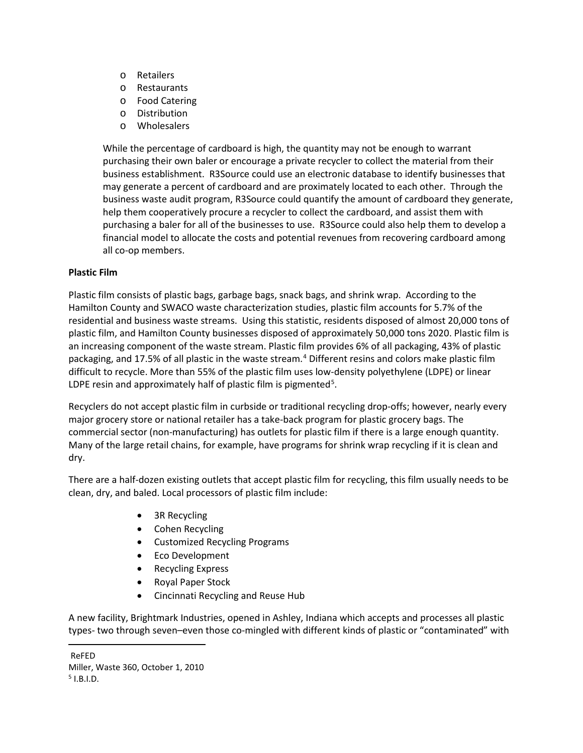- o Retailers
- o Restaurants
- o Food Catering
- o Distribution
- o Wholesalers

While the percentage of cardboard is high, the quantity may not be enough to warrant purchasing their own baler or encourage a private recycler to collect the material from their business establishment. R3Source could use an electronic database to identify businesses that may generate a percent of cardboard and are proximately located to each other. Through the business waste audit program, R3Source could quantify the amount of cardboard they generate, help them cooperatively procure a recycler to collect the cardboard, and assist them with purchasing a baler for all of the businesses to use. R3Source could also help them to develop a financial model to allocate the costs and potential revenues from recovering cardboard among all co-op members.

# **Plastic Film**

Plastic film consists of plastic bags, garbage bags, snack bags, and shrink wrap. According to the Hamilton County and SWACO waste characterization studies, plastic film accounts for 5.7% of the residential and business waste streams. Using this statistic, residents disposed of almost 20,000 tons of plastic film, and Hamilton County businesses disposed of approximately 50,000 tons 2020. Plastic film is an increasing component of the waste stream. Plastic film provides 6% of all packaging, 43% of plastic packaging, and 17.5% of all plastic in the waste stream. [4](#page-10-0) Different resins and colors make plastic film difficult to recycle. More than 55% of the plastic film uses low-density polyethylene (LDPE) or linear LDPE resin and approximately half of plastic film is pigmented<sup>[5](#page-10-1)</sup>.

Recyclers do not accept plastic film in curbside or traditional recycling drop-offs; however, nearly every major grocery store or national retailer has a take-back program for plastic grocery bags. The commercial sector (non-manufacturing) has outlets for plastic film if there is a large enough quantity. Many of the large retail chains, for example, have programs for shrink wrap recycling if it is clean and dry.

There are a half-dozen existing outlets that accept plastic film for recycling, this film usually needs to be clean, dry, and baled. Local processors of plastic film include:

- 3R Recycling
- Cohen Recycling
- Customized Recycling Programs
- Eco Development
- Recycling Express
- Royal Paper Stock
- Cincinnati Recycling and Reuse Hub

A new facility, Brightmark Industries, opened in Ashley, Indiana which accepts and processes all plastic types- two through seven–even those co-mingled with different kinds of plastic or "contaminated" with

<span id="page-10-1"></span>Miller, Waste 360, October 1, 2010  $5$  I.B.I.D.

<span id="page-10-0"></span>ReFED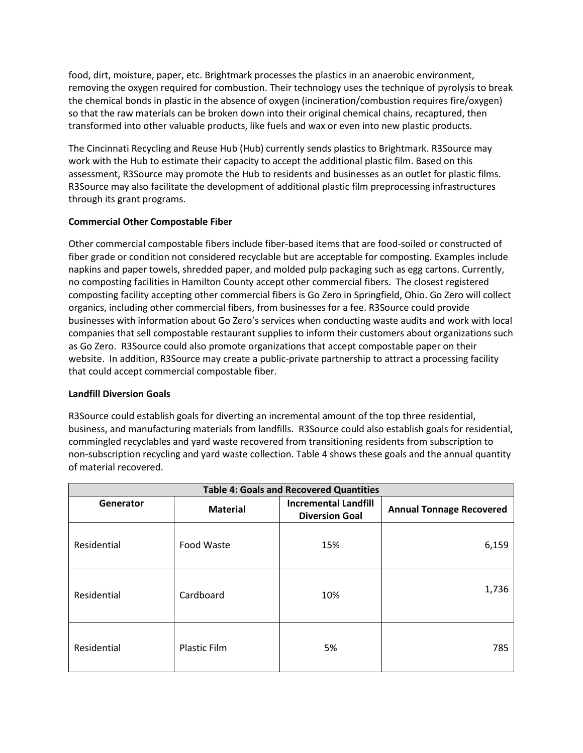food, dirt, moisture, paper, etc. Brightmark processes the plastics in an anaerobic environment, removing the oxygen required for combustion. Their technology uses the technique of pyrolysis to break the chemical bonds in plastic in the absence of oxygen (incineration/combustion requires fire/oxygen) so that the raw materials can be broken down into their original chemical chains, recaptured, then transformed into other valuable products, like fuels and wax or even into new plastic products.

The Cincinnati Recycling and Reuse Hub (Hub) currently sends plastics to Brightmark. R3Source may work with the Hub to estimate their capacity to accept the additional plastic film. Based on this assessment, R3Source may promote the Hub to residents and businesses as an outlet for plastic films. R3Source may also facilitate the development of additional plastic film preprocessing infrastructures through its grant programs.

# **Commercial Other Compostable Fiber**

Other commercial compostable fibers include fiber-based items that are food-soiled or constructed of fiber grade or condition not considered recyclable but are acceptable for composting. Examples include napkins and paper towels, shredded paper, and molded pulp packaging such as egg cartons. Currently, no composting facilities in Hamilton County accept other commercial fibers. The closest registered composting facility accepting other commercial fibers is Go Zero in Springfield, Ohio. Go Zero will collect organics, including other commercial fibers, from businesses for a fee. R3Source could provide businesses with information about Go Zero's services when conducting waste audits and work with local companies that sell compostable restaurant supplies to inform their customers about organizations such as Go Zero. R3Source could also promote organizations that accept compostable paper on their website. In addition, R3Source may create a public-private partnership to attract a processing facility that could accept commercial compostable fiber.

## **Landfill Diversion Goals**

R3Source could establish goals for diverting an incremental amount of the top three residential, business, and manufacturing materials from landfills. R3Source could also establish goals for residential, commingled recyclables and yard waste recovered from transitioning residents from subscription to non-subscription recycling and yard waste collection. Table 4 shows these goals and the annual quantity of material recovered.

| <b>Table 4: Goals and Recovered Quantities</b> |                     |                                                      |                                 |
|------------------------------------------------|---------------------|------------------------------------------------------|---------------------------------|
| Generator                                      | <b>Material</b>     | <b>Incremental Landfill</b><br><b>Diversion Goal</b> | <b>Annual Tonnage Recovered</b> |
| Residential                                    | Food Waste          | 15%                                                  | 6,159                           |
| Residential                                    | Cardboard           | 10%                                                  | 1,736                           |
| Residential                                    | <b>Plastic Film</b> | 5%                                                   | 785                             |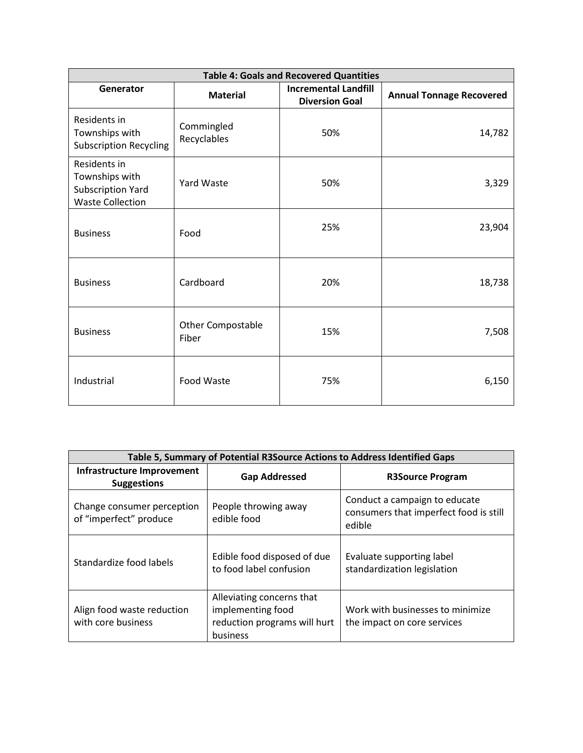| <b>Table 4: Goals and Recovered Quantities</b>                                        |                                   |                                                      |                                 |
|---------------------------------------------------------------------------------------|-----------------------------------|------------------------------------------------------|---------------------------------|
| Generator                                                                             | <b>Material</b>                   | <b>Incremental Landfill</b><br><b>Diversion Goal</b> | <b>Annual Tonnage Recovered</b> |
| Residents in<br>Townships with<br><b>Subscription Recycling</b>                       | Commingled<br>Recyclables         | 50%                                                  | 14,782                          |
| Residents in<br>Townships with<br><b>Subscription Yard</b><br><b>Waste Collection</b> | <b>Yard Waste</b>                 | 50%                                                  | 3,329                           |
| <b>Business</b>                                                                       | Food                              | 25%                                                  | 23,904                          |
| <b>Business</b>                                                                       | Cardboard                         | 20%                                                  | 18,738                          |
| <b>Business</b>                                                                       | <b>Other Compostable</b><br>Fiber | 15%                                                  | 7,508                           |
| Industrial                                                                            | <b>Food Waste</b>                 | 75%                                                  | 6,150                           |

| Table 5, Summary of Potential R3Source Actions to Address Identified Gaps |                                                                                            |                                                                                   |  |
|---------------------------------------------------------------------------|--------------------------------------------------------------------------------------------|-----------------------------------------------------------------------------------|--|
| Infrastructure Improvement<br><b>Suggestions</b>                          | <b>Gap Addressed</b>                                                                       | <b>R3Source Program</b>                                                           |  |
| Change consumer perception<br>of "imperfect" produce                      | People throwing away<br>edible food                                                        | Conduct a campaign to educate<br>consumers that imperfect food is still<br>edible |  |
| Standardize food labels                                                   | Edible food disposed of due<br>to food label confusion                                     | Evaluate supporting label<br>standardization legislation                          |  |
| Align food waste reduction<br>with core business                          | Alleviating concerns that<br>implementing food<br>reduction programs will hurt<br>business | Work with businesses to minimize<br>the impact on core services                   |  |